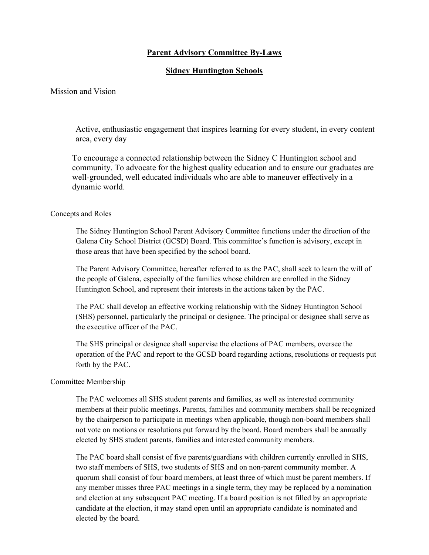## **Parent Advisory Committee By-Laws**

## **Sidney Huntington Schools**

Mission and Vision

Active, enthusiastic engagement that inspires learning for every student, in every content area, every day

To encourage a connected relationship between the Sidney C Huntington school and community. To advocate for the highest quality education and to ensure our graduates are well-grounded, well educated individuals who are able to maneuver effectively in a dynamic world.

#### Concepts and Roles

The Sidney Huntington School Parent Advisory Committee functions under the direction of the Galena City School District (GCSD) Board. This committee's function is advisory, except in those areas that have been specified by the school board.

The Parent Advisory Committee, hereafter referred to as the PAC, shall seek to learn the will of the people of Galena, especially of the families whose children are enrolled in the Sidney Huntington School, and represent their interests in the actions taken by the PAC.

The PAC shall develop an effective working relationship with the Sidney Huntington School (SHS) personnel, particularly the principal or designee. The principal or designee shall serve as the executive officer of the PAC.

The SHS principal or designee shall supervise the elections of PAC members, oversee the operation of the PAC and report to the GCSD board regarding actions, resolutions or requests put forth by the PAC.

#### Committee Membership

The PAC welcomes all SHS student parents and families, as well as interested community members at their public meetings. Parents, families and community members shall be recognized by the chairperson to participate in meetings when applicable, though non-board members shall not vote on motions or resolutions put forward by the board. Board members shall be annually elected by SHS student parents, families and interested community members.

The PAC board shall consist of five parents/guardians with children currently enrolled in SHS, two staff members of SHS, two students of SHS and on non-parent community member. A quorum shall consist of four board members, at least three of which must be parent members. If any member misses three PAC meetings in a single term, they may be replaced by a nomination and election at any subsequent PAC meeting. If a board position is not filled by an appropriate candidate at the election, it may stand open until an appropriate candidate is nominated and elected by the board.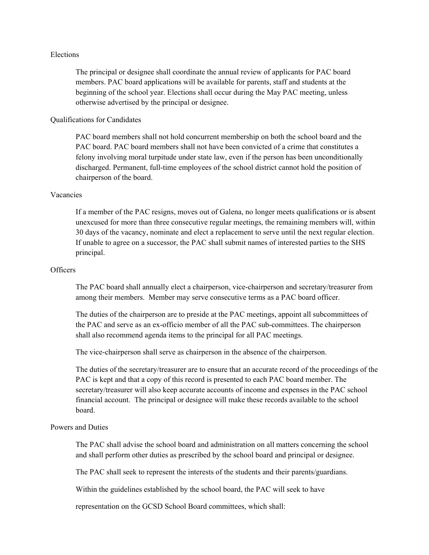### Elections

The principal or designee shall coordinate the annual review of applicants for PAC board members. PAC board applications will be available for parents, staff and students at the beginning of the school year. Elections shall occur during the May PAC meeting, unless otherwise advertised by the principal or designee.

### Qualifications for Candidates

PAC board members shall not hold concurrent membership on both the school board and the PAC board. PAC board members shall not have been convicted of a crime that constitutes a felony involving moral turpitude under state law, even if the person has been unconditionally discharged. Permanent, full-time employees of the school district cannot hold the position of chairperson of the board.

#### Vacancies

If a member of the PAC resigns, moves out of Galena, no longer meets qualifications or is absent unexcused for more than three consecutive regular meetings, the remaining members will, within 30 days of the vacancy, nominate and elect a replacement to serve until the next regular election. If unable to agree on a successor, the PAC shall submit names of interested parties to the SHS principal.

## **Officers**

The PAC board shall annually elect a chairperson, vice-chairperson and secretary/treasurer from among their members. Member may serve consecutive terms as a PAC board officer.

The duties of the chairperson are to preside at the PAC meetings, appoint all subcommittees of the PAC and serve as an ex-officio member of all the PAC sub-committees. The chairperson shall also recommend agenda items to the principal for all PAC meetings.

The vice-chairperson shall serve as chairperson in the absence of the chairperson.

The duties of the secretary/treasurer are to ensure that an accurate record of the proceedings of the PAC is kept and that a copy of this record is presented to each PAC board member. The secretary/treasurer will also keep accurate accounts of income and expenses in the PAC school financial account. The principal or designee will make these records available to the school board.

### Powers and Duties

The PAC shall advise the school board and administration on all matters concerning the school and shall perform other duties as prescribed by the school board and principal or designee.

The PAC shall seek to represent the interests of the students and their parents/guardians.

Within the guidelines established by the school board, the PAC will seek to have

representation on the GCSD School Board committees, which shall: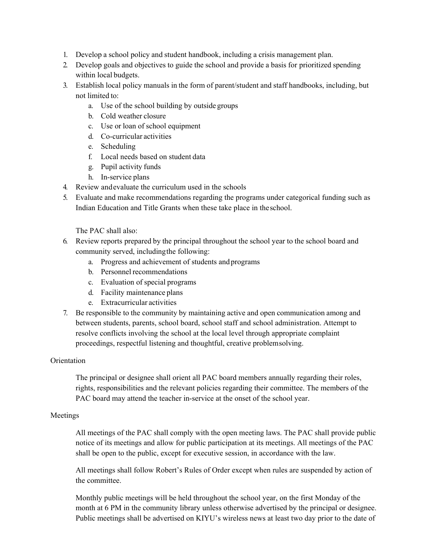- 1. Develop a school policy and student handbook, including a crisis management plan.
- 2. Develop goals and objectives to guide the school and provide a basis for prioritized spending within local budgets.
- 3. Establish local policy manuals in the form of parent/student and staff handbooks, including, but not limited to:
	- a. Use of the school building by outside groups
	- b. Cold weather closure
	- c. Use or loan of school equipment
	- d. Co-curricular activities
	- e. Scheduling
	- f. Local needs based on student data
	- g. Pupil activity funds
	- h. In-service plans
- 4. Review and evaluate the curriculum used in the schools
- 5. Evaluate and make recommendations regarding the programs under categorical funding such as Indian Education and Title Grants when these take place in the school.

The PAC shall also:

- 6. Review reports prepared by the principal throughout the school year to the school board and community served, including the following:
	- a. Progress and achievement of students and programs
	- b. Personnel recommendations
	- c. Evaluation of special programs
	- d. Facility maintenance plans
	- e. Extracurricular activities
- 7. Be responsible to the community by maintaining active and open communication among and between students, parents, school board, school staff and school administration. Attempt to resolve conflicts involving the school at the local level through appropriate complaint proceedings, respectful listening and thoughtful, creative problem solving.

# Orientation

The principal or designee shall orient all PAC board members annually regarding their roles, rights, responsibilities and the relevant policies regarding their committee. The members of the PAC board may attend the teacher in-service at the onset of the school year.

# Meetings

All meetings of the PAC shall comply with the open meeting laws. The PAC shall provide public notice of its meetings and allow for public participation at its meetings. All meetings of the PAC shall be open to the public, except for executive session, in accordance with the law.

All meetings shall follow Robert's Rules of Order except when rules are suspended by action of the committee.

Monthly public meetings will be held throughout the school year, on the first Monday of the month at 6 PM in the community library unless otherwise advertised by the principal or designee. Public meetings shall be advertised on KIYU's wireless news at least two day prior to the date of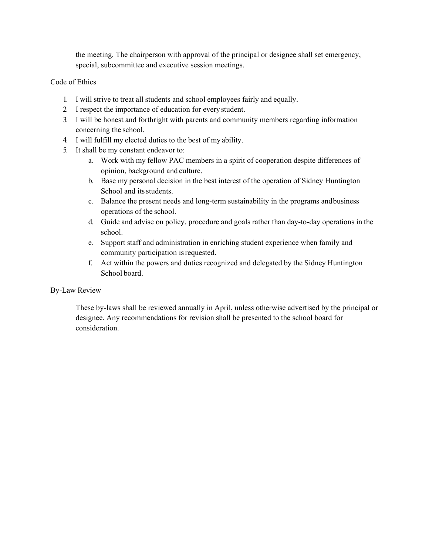the meeting. The chairperson with approval of the principal or designee shall set emergency, special, subcommittee and executive session meetings.

## Code of Ethics

- 1. I will strive to treat all students and school employees fairly and equally.
- 2. I respect the importance of education for every student.
- 3. I will be honest and forthright with parents and community members regarding information concerning the school.
- 4. I will fulfill my elected duties to the best of my ability.
- 5. It shall be my constant endeavor to:
	- a. Work with my fellow PAC members in a spirit of cooperation despite differences of opinion, background and culture.
	- b. Base my personal decision in the best interest of the operation of Sidney Huntington School and its students.
	- c. Balance the present needs and long-term sustainability in the programs and business operations of the school.
	- d. Guide and advise on policy, procedure and goals rather than day-to-day operations in the school.
	- e. Support staff and administration in enriching student experience when family and community participation is requested.
	- f. Act within the powers and duties recognized and delegated by the Sidney Huntington School board.

# By-Law Review

These by-laws shall be reviewed annually in April, unless otherwise advertised by the principal or designee. Any recommendations for revision shall be presented to the school board for consideration.